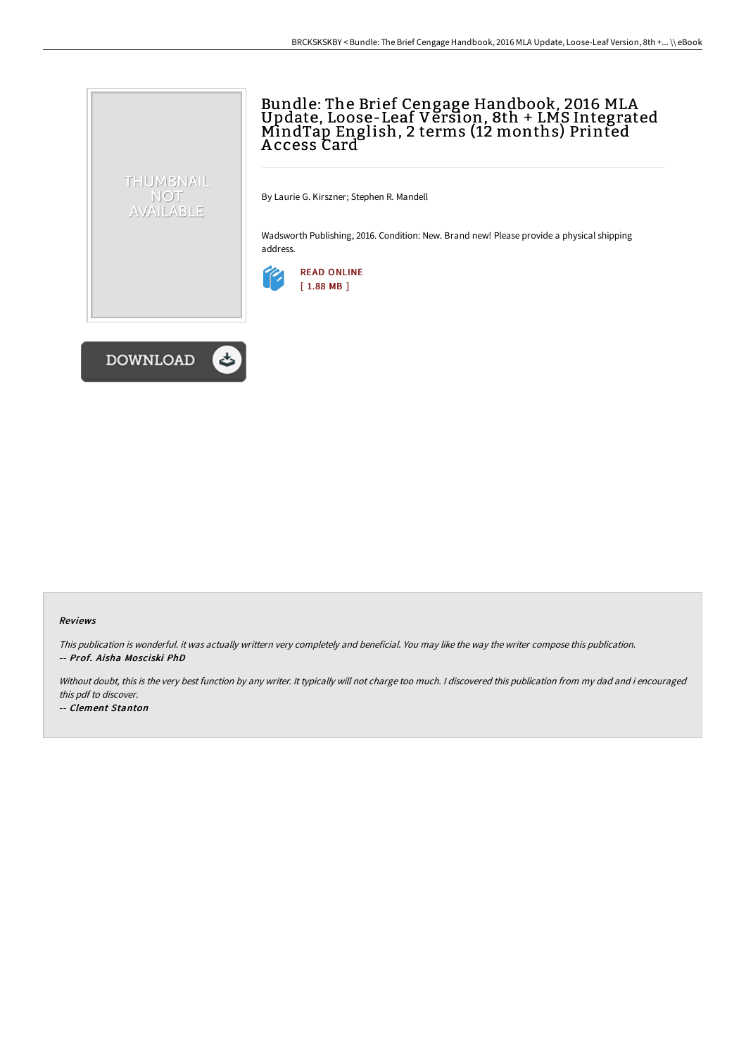# Bundle: The Brief Cengage Handbook, 2016 MLA Update, Loose-Leaf Version, 8th + LMS Integrated MindTap English, 2 terms (12 months) Printed A ccess Card

By Laurie G. Kirszner; Stephen R. Mandell

Wadsworth Publishing, 2016. Condition: New. Brand new! Please provide a physical shipping address.





THUMBNAIL NOT<br>AVAILABLE

#### Reviews

This publication is wonderful. it was actually writtern very completely and beneficial. You may like the way the writer compose this publication. -- Prof. Aisha Mosciski PhD

Without doubt, this is the very best function by any writer. It typically will not charge too much. I discovered this publication from my dad and i encouraged this pdf to discover.

-- Clement Stanton